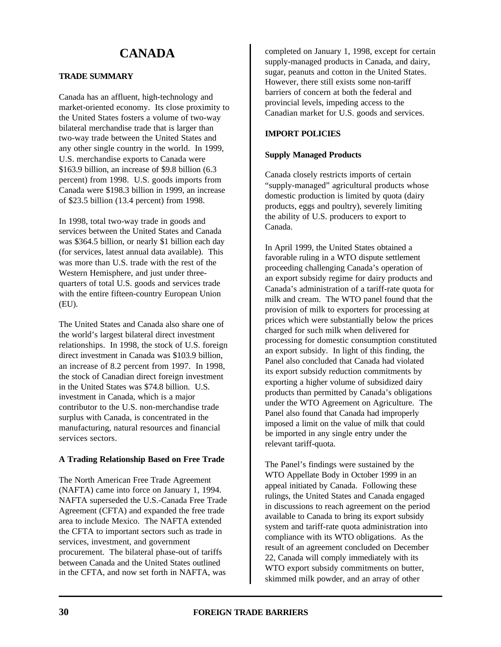# **CANADA**

# **TRADE SUMMARY**

Canada has an affluent, high-technology and market-oriented economy. Its close proximity to the United States fosters a volume of two-way bilateral merchandise trade that is larger than two-way trade between the United States and any other single country in the world. In 1999, U.S. merchandise exports to Canada were \$163.9 billion, an increase of \$9.8 billion (6.3 percent) from 1998. U.S. goods imports from Canada were \$198.3 billion in 1999, an increase of \$23.5 billion (13.4 percent) from 1998.

In 1998, total two-way trade in goods and services between the United States and Canada was \$364.5 billion, or nearly \$1 billion each day (for services, latest annual data available). This was more than U.S. trade with the rest of the Western Hemisphere, and just under threequarters of total U.S. goods and services trade with the entire fifteen-country European Union (EU).

The United States and Canada also share one of the world's largest bilateral direct investment relationships. In 1998, the stock of U.S. foreign direct investment in Canada was \$103.9 billion, an increase of 8.2 percent from 1997. In 1998, the stock of Canadian direct foreign investment in the United States was \$74.8 billion. U.S. investment in Canada, which is a major contributor to the U.S. non-merchandise trade surplus with Canada, is concentrated in the manufacturing, natural resources and financial services sectors.

# **A Trading Relationship Based on Free Trade**

The North American Free Trade Agreement (NAFTA) came into force on January 1, 1994. NAFTA superseded the U.S.-Canada Free Trade Agreement (CFTA) and expanded the free trade area to include Mexico. The NAFTA extended the CFTA to important sectors such as trade in services, investment, and government procurement. The bilateral phase-out of tariffs between Canada and the United States outlined in the CFTA, and now set forth in NAFTA, was

completed on January 1, 1998, except for certain supply-managed products in Canada, and dairy, sugar, peanuts and cotton in the United States. However, there still exists some non-tariff barriers of concern at both the federal and provincial levels, impeding access to the Canadian market for U.S. goods and services.

# **IMPORT POLICIES**

# **Supply Managed Products**

Canada closely restricts imports of certain "supply-managed" agricultural products whose domestic production is limited by quota (dairy products, eggs and poultry), severely limiting the ability of U.S. producers to export to Canada.

In April 1999, the United States obtained a favorable ruling in a WTO dispute settlement proceeding challenging Canada's operation of an export subsidy regime for dairy products and Canada's administration of a tariff-rate quota for milk and cream. The WTO panel found that the provision of milk to exporters for processing at prices which were substantially below the prices charged for such milk when delivered for processing for domestic consumption constituted an export subsidy. In light of this finding, the Panel also concluded that Canada had violated its export subsidy reduction commitments by exporting a higher volume of subsidized dairy products than permitted by Canada's obligations under the WTO Agreement on Agriculture. The Panel also found that Canada had improperly imposed a limit on the value of milk that could be imported in any single entry under the relevant tariff-quota.

The Panel's findings were sustained by the WTO Appellate Body in October 1999 in an appeal initiated by Canada. Following these rulings, the United States and Canada engaged in discussions to reach agreement on the period available to Canada to bring its export subsidy system and tariff-rate quota administration into compliance with its WTO obligations. As the result of an agreement concluded on December 22, Canada will comply immediately with its WTO export subsidy commitments on butter, skimmed milk powder, and an array of other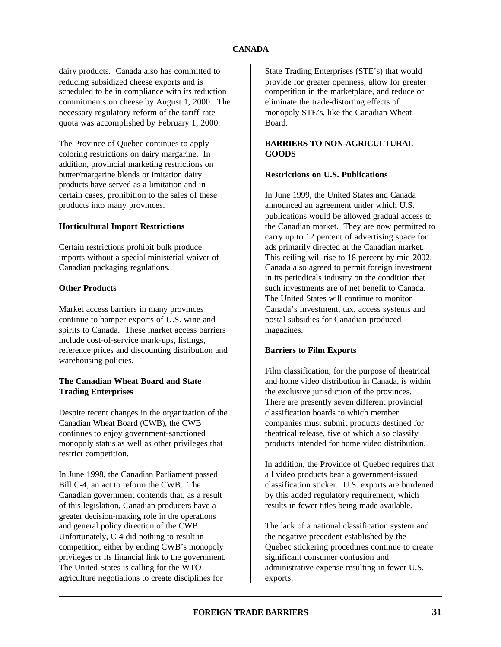dairy products. Canada also has committed to reducing subsidized cheese exports and is scheduled to be in compliance with its reduction commitments on cheese by August 1, 2000. The necessary regulatory reform of the tariff-rate quota was accomplished by February 1, 2000.

The Province of Quebec continues to apply coloring restrictions on dairy margarine. In addition, provincial marketing restrictions on butter/margarine blends or imitation dairy products have served as a limitation and in certain cases, prohibition to the sales of these products into many provinces.

#### **Horticultural Import Restrictions**

Certain restrictions prohibit bulk produce imports without a special ministerial waiver of Canadian packaging regulations.

#### **Other Products**

Market access barriers in many provinces continue to hamper exports of U.S. wine and spirits to Canada. These market access barriers include cost-of-service mark-ups, listings, reference prices and discounting distribution and warehousing policies.

# **The Canadian Wheat Board and State Trading Enterprises**

Despite recent changes in the organization of the Canadian Wheat Board (CWB), the CWB continues to enjoy government-sanctioned monopoly status as well as other privileges that restrict competition.

In June 1998, the Canadian Parliament passed Bill C-4, an act to reform the CWB. The Canadian government contends that, as a result of this legislation, Canadian producers have a greater decision-making role in the operations and general policy direction of the CWB. Unfortunately, C-4 did nothing to result in competition, either by ending CWB's monopoly privileges or its financial link to the government. The United States is calling for the WTO agriculture negotiations to create disciplines for

State Trading Enterprises (STE's) that would provide for greater openness, allow for greater competition in the marketplace, and reduce or eliminate the trade-distorting effects of monopoly STE's, like the Canadian Wheat Board.

# **BARRIERS TO NON-AGRICULTURAL GOODS**

#### **Restrictions on U.S. Publications**

In June 1999, the United States and Canada announced an agreement under which U.S. publications would be allowed gradual access to the Canadian market. They are now permitted to carry up to 12 percent of advertising space for ads primarily directed at the Canadian market. This ceiling will rise to 18 percent by mid-2002. Canada also agreed to permit foreign investment in its periodicals industry on the condition that such investments are of net benefit to Canada. The United States will continue to monitor Canada's investment, tax, access systems and postal subsidies for Canadian-produced magazines.

# **Barriers to Film Exports**

Film classification, for the purpose of theatrical and home video distribution in Canada, is within the exclusive jurisdiction of the provinces. There are presently seven different provincial classification boards to which member companies must submit products destined for theatrical release, five of which also classify products intended for home video distribution.

In addition, the Province of Quebec requires that all video products bear a government-issued classification sticker. U.S. exports are burdened by this added regulatory requirement, which results in fewer titles being made available.

The lack of a national classification system and the negative precedent established by the Quebec stickering procedures continue to create significant consumer confusion and administrative expense resulting in fewer U.S. exports.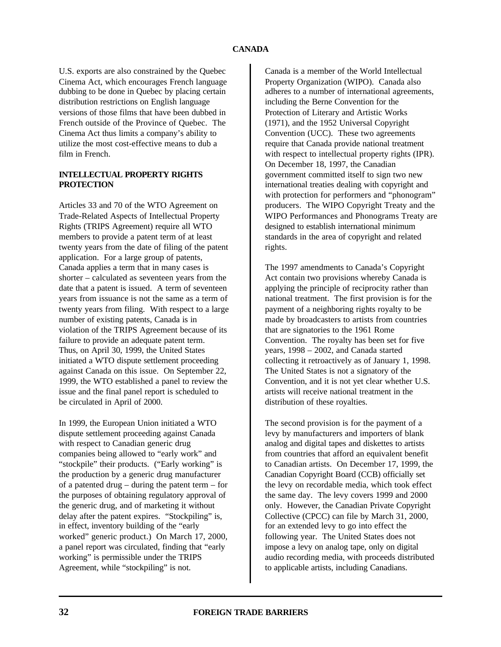U.S. exports are also constrained by the Quebec Cinema Act, which encourages French language dubbing to be done in Quebec by placing certain distribution restrictions on English language versions of those films that have been dubbed in French outside of the Province of Quebec. The Cinema Act thus limits a company's ability to utilize the most cost-effective means to dub a film in French.

# **INTELLECTUAL PROPERTY RIGHTS PROTECTION**

Articles 33 and 70 of the WTO Agreement on Trade-Related Aspects of Intellectual Property Rights (TRIPS Agreement) require all WTO members to provide a patent term of at least twenty years from the date of filing of the patent application. For a large group of patents, Canada applies a term that in many cases is shorter – calculated as seventeen years from the date that a patent is issued. A term of seventeen years from issuance is not the same as a term of twenty years from filing. With respect to a large number of existing patents, Canada is in violation of the TRIPS Agreement because of its failure to provide an adequate patent term. Thus, on April 30, 1999, the United States initiated a WTO dispute settlement proceeding against Canada on this issue. On September 22, 1999, the WTO established a panel to review the issue and the final panel report is scheduled to be circulated in April of 2000.

In 1999, the European Union initiated a WTO dispute settlement proceeding against Canada with respect to Canadian generic drug companies being allowed to "early work" and "stockpile" their products. ("Early working" is the production by a generic drug manufacturer of a patented drug – during the patent term – for the purposes of obtaining regulatory approval of the generic drug, and of marketing it without delay after the patent expires. "Stockpiling" is, in effect, inventory building of the "early worked" generic product.) On March 17, 2000, a panel report was circulated, finding that "early working" is permissible under the TRIPS Agreement, while "stockpiling" is not.

Canada is a member of the World Intellectual Property Organization (WIPO). Canada also adheres to a number of international agreements, including the Berne Convention for the Protection of Literary and Artistic Works (1971), and the 1952 Universal Copyright Convention (UCC). These two agreements require that Canada provide national treatment with respect to intellectual property rights (IPR). On December 18, 1997, the Canadian government committed itself to sign two new international treaties dealing with copyright and with protection for performers and "phonogram" producers. The WIPO Copyright Treaty and the WIPO Performances and Phonograms Treaty are designed to establish international minimum standards in the area of copyright and related rights.

The 1997 amendments to Canada's Copyright Act contain two provisions whereby Canada is applying the principle of reciprocity rather than national treatment. The first provision is for the payment of a neighboring rights royalty to be made by broadcasters to artists from countries that are signatories to the 1961 Rome Convention. The royalty has been set for five years, 1998 – 2002, and Canada started collecting it retroactively as of January 1, 1998. The United States is not a signatory of the Convention, and it is not yet clear whether U.S. artists will receive national treatment in the distribution of these royalties.

The second provision is for the payment of a levy by manufacturers and importers of blank analog and digital tapes and diskettes to artists from countries that afford an equivalent benefit to Canadian artists. On December 17, 1999, the Canadian Copyright Board (CCB) officially set the levy on recordable media, which took effect the same day. The levy covers 1999 and 2000 only. However, the Canadian Private Copyright Collective (CPCC) can file by March 31, 2000, for an extended levy to go into effect the following year. The United States does not impose a levy on analog tape, only on digital audio recording media, with proceeds distributed to applicable artists, including Canadians.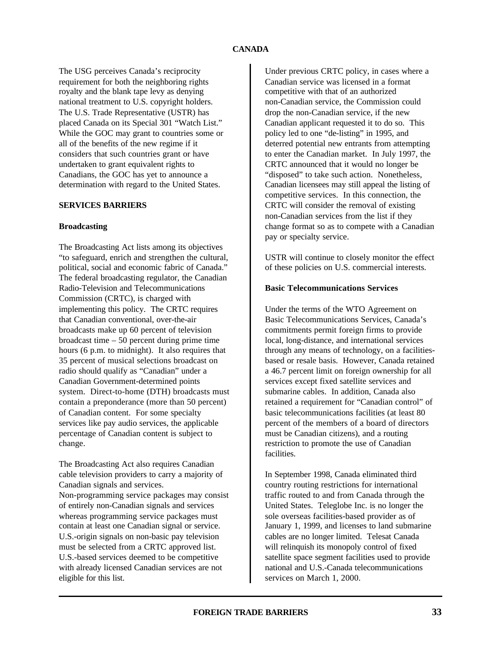# **CANADA**

The USG perceives Canada's reciprocity requirement for both the neighboring rights royalty and the blank tape levy as denying national treatment to U.S. copyright holders. The U.S. Trade Representative (USTR) has placed Canada on its Special 301 "Watch List." While the GOC may grant to countries some or all of the benefits of the new regime if it considers that such countries grant or have undertaken to grant equivalent rights to Canadians, the GOC has yet to announce a determination with regard to the United States.

#### **SERVICES BARRIERS**

#### **Broadcasting**

The Broadcasting Act lists among its objectives "to safeguard, enrich and strengthen the cultural, political, social and economic fabric of Canada." The federal broadcasting regulator, the Canadian Radio-Television and Telecommunications Commission (CRTC), is charged with implementing this policy. The CRTC requires that Canadian conventional, over-the-air broadcasts make up 60 percent of television broadcast time – 50 percent during prime time hours (6 p.m. to midnight). It also requires that 35 percent of musical selections broadcast on radio should qualify as "Canadian" under a Canadian Government-determined points system. Direct-to-home (DTH) broadcasts must contain a preponderance (more than 50 percent) of Canadian content. For some specialty services like pay audio services, the applicable percentage of Canadian content is subject to change.

The Broadcasting Act also requires Canadian cable television providers to carry a majority of Canadian signals and services. Non-programming service packages may consist of entirely non-Canadian signals and services whereas programming service packages must contain at least one Canadian signal or service. U.S.-origin signals on non-basic pay television must be selected from a CRTC approved list. U.S.-based services deemed to be competitive with already licensed Canadian services are not

eligible for this list.

Under previous CRTC policy, in cases where a Canadian service was licensed in a format competitive with that of an authorized non-Canadian service, the Commission could drop the non-Canadian service, if the new Canadian applicant requested it to do so. This policy led to one "de-listing" in 1995, and deterred potential new entrants from attempting to enter the Canadian market. In July 1997, the CRTC announced that it would no longer be "disposed" to take such action. Nonetheless, Canadian licensees may still appeal the listing of competitive services. In this connection, the CRTC will consider the removal of existing non-Canadian services from the list if they change format so as to compete with a Canadian pay or specialty service.

USTR will continue to closely monitor the effect of these policies on U.S. commercial interests.

# **Basic Telecommunications Services**

Under the terms of the WTO Agreement on Basic Telecommunications Services, Canada's commitments permit foreign firms to provide local, long-distance, and international services through any means of technology, on a facilitiesbased or resale basis. However, Canada retained a 46.7 percent limit on foreign ownership for all services except fixed satellite services and submarine cables. In addition, Canada also retained a requirement for "Canadian control" of basic telecommunications facilities (at least 80 percent of the members of a board of directors must be Canadian citizens), and a routing restriction to promote the use of Canadian facilities.

In September 1998, Canada eliminated third country routing restrictions for international traffic routed to and from Canada through the United States. Teleglobe Inc. is no longer the sole overseas facilities-based provider as of January 1, 1999, and licenses to land submarine cables are no longer limited. Telesat Canada will relinquish its monopoly control of fixed satellite space segment facilities used to provide national and U.S.-Canada telecommunications services on March 1, 2000.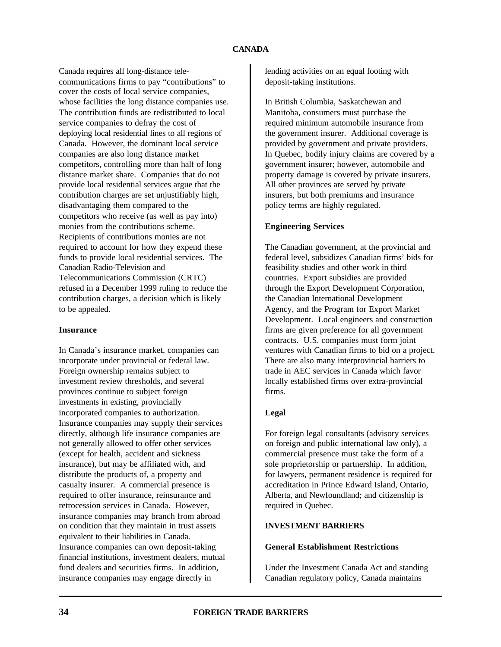# **CANADA**

Canada requires all long-distance telecommunications firms to pay "contributions" to cover the costs of local service companies, whose facilities the long distance companies use. The contribution funds are redistributed to local service companies to defray the cost of deploying local residential lines to all regions of Canada. However, the dominant local service companies are also long distance market competitors, controlling more than half of long distance market share. Companies that do not provide local residential services argue that the contribution charges are set unjustifiably high, disadvantaging them compared to the competitors who receive (as well as pay into) monies from the contributions scheme. Recipients of contributions monies are not required to account for how they expend these funds to provide local residential services. The Canadian Radio-Television and Telecommunications Commission (CRTC) refused in a December 1999 ruling to reduce the contribution charges, a decision which is likely to be appealed.

# **Insurance**

In Canada's insurance market, companies can incorporate under provincial or federal law. Foreign ownership remains subject to investment review thresholds, and several provinces continue to subject foreign investments in existing, provincially incorporated companies to authorization. Insurance companies may supply their services directly, although life insurance companies are not generally allowed to offer other services (except for health, accident and sickness insurance), but may be affiliated with, and distribute the products of, a property and casualty insurer. A commercial presence is required to offer insurance, reinsurance and retrocession services in Canada. However, insurance companies may branch from abroad on condition that they maintain in trust assets equivalent to their liabilities in Canada. Insurance companies can own deposit-taking financial institutions, investment dealers, mutual fund dealers and securities firms. In addition, insurance companies may engage directly in

lending activities on an equal footing with deposit-taking institutions.

In British Columbia, Saskatchewan and Manitoba, consumers must purchase the required minimum automobile insurance from the government insurer. Additional coverage is provided by government and private providers. In Quebec, bodily injury claims are covered by a government insurer; however, automobile and property damage is covered by private insurers. All other provinces are served by private insurers, but both premiums and insurance policy terms are highly regulated.

# **Engineering Services**

The Canadian government, at the provincial and federal level, subsidizes Canadian firms' bids for feasibility studies and other work in third countries. Export subsidies are provided through the Export Development Corporation, the Canadian International Development Agency, and the Program for Export Market Development. Local engineers and construction firms are given preference for all government contracts. U.S. companies must form joint ventures with Canadian firms to bid on a project. There are also many interprovincial barriers to trade in AEC services in Canada which favor locally established firms over extra-provincial firms.

# **Legal**

For foreign legal consultants (advisory services on foreign and public international law only), a commercial presence must take the form of a sole proprietorship or partnership. In addition, for lawyers, permanent residence is required for accreditation in Prince Edward Island, Ontario, Alberta, and Newfoundland; and citizenship is required in Quebec.

# **INVESTMENT BARRIERS**

#### **General Establishment Restrictions**

Under the Investment Canada Act and standing Canadian regulatory policy, Canada maintains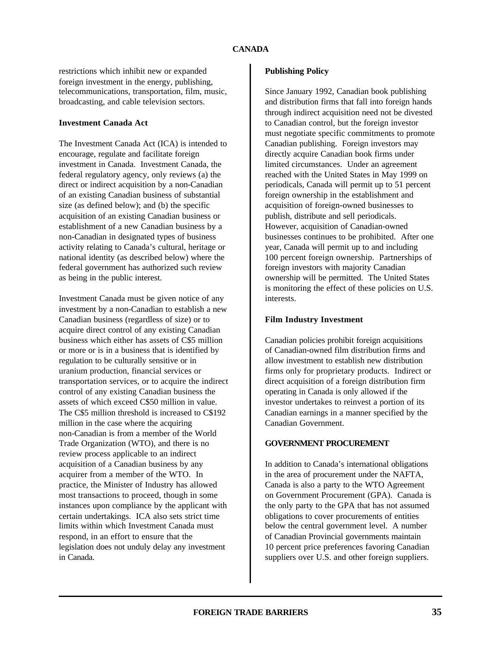restrictions which inhibit new or expanded foreign investment in the energy, publishing, telecommunications, transportation, film, music, broadcasting, and cable television sectors.

### **Investment Canada Act**

The Investment Canada Act (ICA) is intended to encourage, regulate and facilitate foreign investment in Canada. Investment Canada, the federal regulatory agency, only reviews (a) the direct or indirect acquisition by a non-Canadian of an existing Canadian business of substantial size (as defined below); and (b) the specific acquisition of an existing Canadian business or establishment of a new Canadian business by a non-Canadian in designated types of business activity relating to Canada's cultural, heritage or national identity (as described below) where the federal government has authorized such review as being in the public interest.

Investment Canada must be given notice of any investment by a non-Canadian to establish a new Canadian business (regardless of size) or to acquire direct control of any existing Canadian business which either has assets of C\$5 million or more or is in a business that is identified by regulation to be culturally sensitive or in uranium production, financial services or transportation services, or to acquire the indirect control of any existing Canadian business the assets of which exceed C\$50 million in value. The C\$5 million threshold is increased to C\$192 million in the case where the acquiring non-Canadian is from a member of the World Trade Organization (WTO), and there is no review process applicable to an indirect acquisition of a Canadian business by any acquirer from a member of the WTO. In practice, the Minister of Industry has allowed most transactions to proceed, though in some instances upon compliance by the applicant with certain undertakings. ICA also sets strict time limits within which Investment Canada must respond, in an effort to ensure that the legislation does not unduly delay any investment in Canada.

# **Publishing Policy**

Since January 1992, Canadian book publishing and distribution firms that fall into foreign hands through indirect acquisition need not be divested to Canadian control, but the foreign investor must negotiate specific commitments to promote Canadian publishing. Foreign investors may directly acquire Canadian book firms under limited circumstances. Under an agreement reached with the United States in May 1999 on periodicals, Canada will permit up to 51 percent foreign ownership in the establishment and acquisition of foreign-owned businesses to publish, distribute and sell periodicals. However, acquisition of Canadian-owned businesses continues to be prohibited. After one year, Canada will permit up to and including 100 percent foreign ownership. Partnerships of foreign investors with majority Canadian ownership will be permitted. The United States is monitoring the effect of these policies on U.S. interests.

# **Film Industry Investment**

Canadian policies prohibit foreign acquisitions of Canadian-owned film distribution firms and allow investment to establish new distribution firms only for proprietary products. Indirect or direct acquisition of a foreign distribution firm operating in Canada is only allowed if the investor undertakes to reinvest a portion of its Canadian earnings in a manner specified by the Canadian Government.

# **GOVERNMENT PROCUREMENT**

In addition to Canada's international obligations in the area of procurement under the NAFTA, Canada is also a party to the WTO Agreement on Government Procurement (GPA). Canada is the only party to the GPA that has not assumed obligations to cover procurements of entities below the central government level. A number of Canadian Provincial governments maintain 10 percent price preferences favoring Canadian suppliers over U.S. and other foreign suppliers.